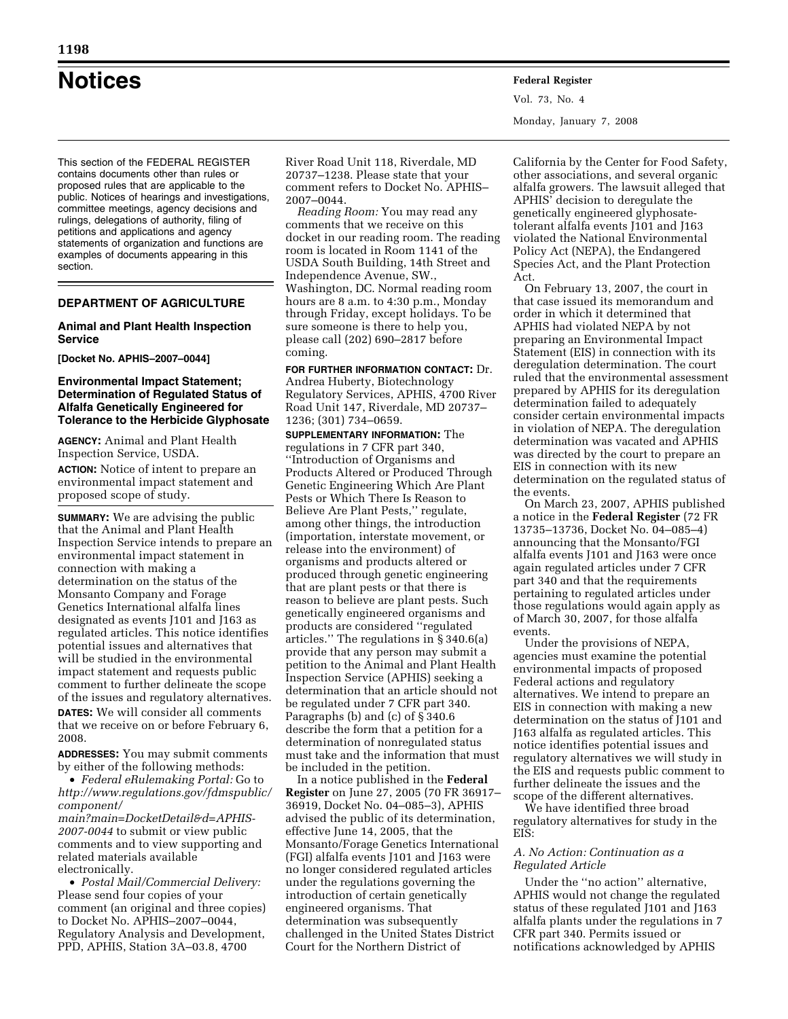This section of the FEDERAL REGISTER contains documents other than rules or proposed rules that are applicable to the public. Notices of hearings and investigations, committee meetings, agency decisions and rulings, delegations of authority, filing of petitions and applications and agency statements of organization and functions are examples of documents appearing in this section.

## **DEPARTMENT OF AGRICULTURE**

#### **Animal and Plant Health Inspection Service**

**[Docket No. APHIS–2007–0044]** 

#### **Environmental Impact Statement; Determination of Regulated Status of Alfalfa Genetically Engineered for Tolerance to the Herbicide Glyphosate**

**AGENCY:** Animal and Plant Health Inspection Service, USDA. **ACTION:** Notice of intent to prepare an environmental impact statement and proposed scope of study.

**SUMMARY:** We are advising the public that the Animal and Plant Health Inspection Service intends to prepare an environmental impact statement in connection with making a determination on the status of the Monsanto Company and Forage Genetics International alfalfa lines designated as events J101 and J163 as regulated articles. This notice identifies potential issues and alternatives that will be studied in the environmental impact statement and requests public comment to further delineate the scope of the issues and regulatory alternatives. **DATES:** We will consider all comments that we receive on or before February 6, 2008.

**ADDRESSES:** You may submit comments by either of the following methods:

• *Federal eRulemaking Portal:* Go to *http://www.regulations.gov/fdmspublic/ component/* 

*main?main=DocketDetail&d=APHIS-2007-0044* to submit or view public comments and to view supporting and related materials available electronically.

• *Postal Mail/Commercial Delivery:*  Please send four copies of your comment (an original and three copies) to Docket No. APHIS–2007–0044, Regulatory Analysis and Development, PPD, APHIS, Station 3A–03.8, 4700

River Road Unit 118, Riverdale, MD 20737–1238. Please state that your comment refers to Docket No. APHIS– 2007–0044.

*Reading Room:* You may read any comments that we receive on this docket in our reading room. The reading room is located in Room 1141 of the USDA South Building, 14th Street and Independence Avenue, SW., Washington, DC. Normal reading room hours are 8 a.m. to 4:30 p.m., Monday through Friday, except holidays. To be sure someone is there to help you, please call (202) 690–2817 before coming.

**FOR FURTHER INFORMATION CONTACT:** Dr. Andrea Huberty, Biotechnology Regulatory Services, APHIS, 4700 River Road Unit 147, Riverdale, MD 20737– 1236; (301) 734–0659.

**SUPPLEMENTARY INFORMATION:** The regulations in 7 CFR part 340, ''Introduction of Organisms and Products Altered or Produced Through Genetic Engineering Which Are Plant Pests or Which There Is Reason to Believe Are Plant Pests,'' regulate, among other things, the introduction (importation, interstate movement, or release into the environment) of organisms and products altered or produced through genetic engineering that are plant pests or that there is reason to believe are plant pests. Such genetically engineered organisms and products are considered ''regulated articles.'' The regulations in § 340.6(a) provide that any person may submit a petition to the Animal and Plant Health Inspection Service (APHIS) seeking a determination that an article should not be regulated under 7 CFR part 340. Paragraphs (b) and (c) of § 340.6 describe the form that a petition for a determination of nonregulated status must take and the information that must be included in the petition.

In a notice published in the **Federal Register** on June 27, 2005 (70 FR 36917– 36919, Docket No. 04–085–3), APHIS advised the public of its determination, effective June 14, 2005, that the Monsanto/Forage Genetics International (FGI) alfalfa events J101 and J163 were no longer considered regulated articles under the regulations governing the introduction of certain genetically engineered organisms. That determination was subsequently challenged in the United States District Court for the Northern District of

California by the Center for Food Safety, other associations, and several organic alfalfa growers. The lawsuit alleged that APHIS' decision to deregulate the genetically engineered glyphosatetolerant alfalfa events J101 and J163 violated the National Environmental Policy Act (NEPA), the Endangered Species Act, and the Plant Protection Act.

Vol. 73, No. 4

Monday, January 7, 2008

On February 13, 2007, the court in that case issued its memorandum and order in which it determined that APHIS had violated NEPA by not preparing an Environmental Impact Statement (EIS) in connection with its deregulation determination. The court ruled that the environmental assessment prepared by APHIS for its deregulation determination failed to adequately consider certain environmental impacts in violation of NEPA. The deregulation determination was vacated and APHIS was directed by the court to prepare an EIS in connection with its new determination on the regulated status of the events.

On March 23, 2007, APHIS published a notice in the **Federal Register** (72 FR 13735–13736, Docket No. 04–085–4) announcing that the Monsanto/FGI alfalfa events J101 and J163 were once again regulated articles under 7 CFR part 340 and that the requirements pertaining to regulated articles under those regulations would again apply as of March 30, 2007, for those alfalfa events.

Under the provisions of NEPA, agencies must examine the potential environmental impacts of proposed Federal actions and regulatory alternatives. We intend to prepare an EIS in connection with making a new determination on the status of J101 and J163 alfalfa as regulated articles. This notice identifies potential issues and regulatory alternatives we will study in the EIS and requests public comment to further delineate the issues and the scope of the different alternatives.

We have identified three broad regulatory alternatives for study in the EIS:

#### *A. No Action: Continuation as a Regulated Article*

Under the ''no action'' alternative, APHIS would not change the regulated status of these regulated J101 and J163 alfalfa plants under the regulations in 7 CFR part 340. Permits issued or notifications acknowledged by APHIS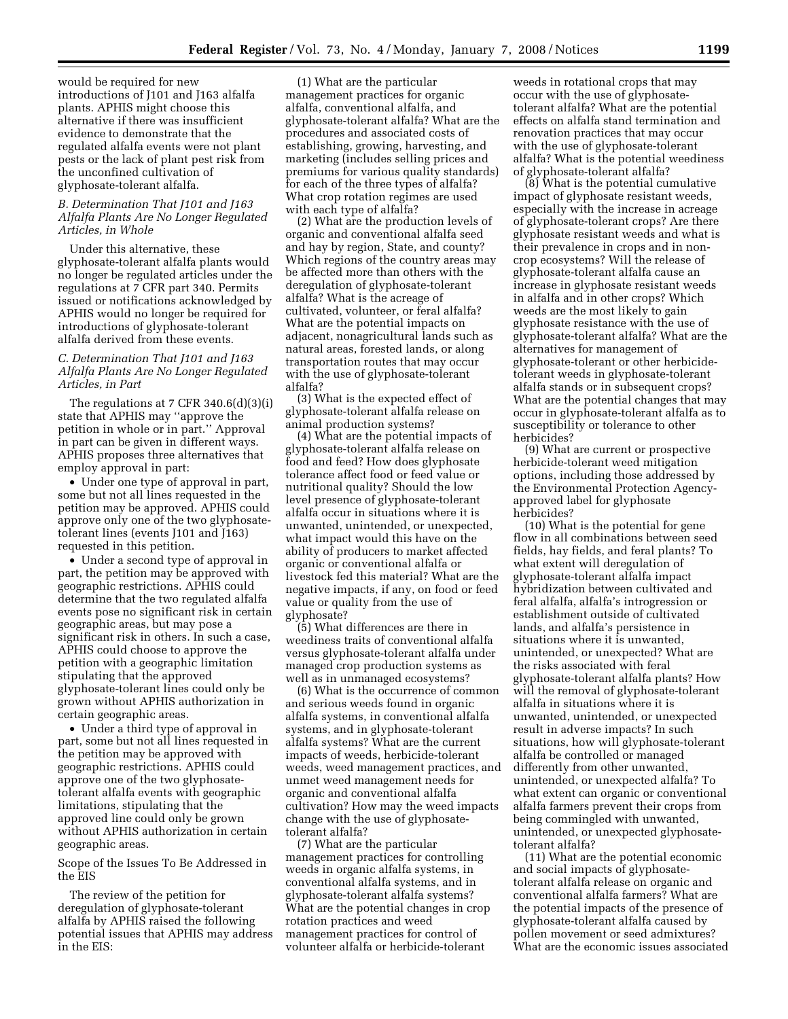would be required for new introductions of J101 and J163 alfalfa plants. APHIS might choose this alternative if there was insufficient evidence to demonstrate that the regulated alfalfa events were not plant pests or the lack of plant pest risk from the unconfined cultivation of glyphosate-tolerant alfalfa.

#### *B. Determination That J101 and J163 Alfalfa Plants Are No Longer Regulated Articles, in Whole*

Under this alternative, these glyphosate-tolerant alfalfa plants would no longer be regulated articles under the regulations at 7 CFR part 340. Permits issued or notifications acknowledged by APHIS would no longer be required for introductions of glyphosate-tolerant alfalfa derived from these events.

### *C. Determination That J101 and J163 Alfalfa Plants Are No Longer Regulated Articles, in Part*

The regulations at 7 CFR  $340.6(d)(3)(i)$ state that APHIS may ''approve the petition in whole or in part.'' Approval in part can be given in different ways. APHIS proposes three alternatives that employ approval in part:

• Under one type of approval in part, some but not all lines requested in the petition may be approved. APHIS could approve only one of the two glyphosatetolerant lines (events J101 and J163) requested in this petition.

• Under a second type of approval in part, the petition may be approved with geographic restrictions. APHIS could determine that the two regulated alfalfa events pose no significant risk in certain geographic areas, but may pose a significant risk in others. In such a case, APHIS could choose to approve the petition with a geographic limitation stipulating that the approved glyphosate-tolerant lines could only be grown without APHIS authorization in certain geographic areas.

• Under a third type of approval in part, some but not all lines requested in the petition may be approved with geographic restrictions. APHIS could approve one of the two glyphosatetolerant alfalfa events with geographic limitations, stipulating that the approved line could only be grown without APHIS authorization in certain geographic areas.

# Scope of the Issues To Be Addressed in the EIS

The review of the petition for deregulation of glyphosate-tolerant alfalfa by APHIS raised the following potential issues that APHIS may address in the EIS:

(1) What are the particular management practices for organic alfalfa, conventional alfalfa, and glyphosate-tolerant alfalfa? What are the procedures and associated costs of establishing, growing, harvesting, and marketing (includes selling prices and premiums for various quality standards) for each of the three types of alfalfa? What crop rotation regimes are used with each type of alfalfa?

(2) What are the production levels of organic and conventional alfalfa seed and hay by region, State, and county? Which regions of the country areas may be affected more than others with the deregulation of glyphosate-tolerant alfalfa? What is the acreage of cultivated, volunteer, or feral alfalfa? What are the potential impacts on adjacent, nonagricultural lands such as natural areas, forested lands, or along transportation routes that may occur with the use of glyphosate-tolerant alfalfa?

(3) What is the expected effect of glyphosate-tolerant alfalfa release on animal production systems?

(4) What are the potential impacts of glyphosate-tolerant alfalfa release on food and feed? How does glyphosate tolerance affect food or feed value or nutritional quality? Should the low level presence of glyphosate-tolerant alfalfa occur in situations where it is unwanted, unintended, or unexpected, what impact would this have on the ability of producers to market affected organic or conventional alfalfa or livestock fed this material? What are the negative impacts, if any, on food or feed value or quality from the use of glyphosate?

(5) What differences are there in weediness traits of conventional alfalfa versus glyphosate-tolerant alfalfa under managed crop production systems as well as in unmanaged ecosystems?

(6) What is the occurrence of common and serious weeds found in organic alfalfa systems, in conventional alfalfa systems, and in glyphosate-tolerant alfalfa systems? What are the current impacts of weeds, herbicide-tolerant weeds, weed management practices, and unmet weed management needs for organic and conventional alfalfa cultivation? How may the weed impacts change with the use of glyphosatetolerant alfalfa?

(7) What are the particular management practices for controlling weeds in organic alfalfa systems, in conventional alfalfa systems, and in glyphosate-tolerant alfalfa systems? What are the potential changes in crop rotation practices and weed management practices for control of volunteer alfalfa or herbicide-tolerant

weeds in rotational crops that may occur with the use of glyphosatetolerant alfalfa? What are the potential effects on alfalfa stand termination and renovation practices that may occur with the use of glyphosate-tolerant alfalfa? What is the potential weediness of glyphosate-tolerant alfalfa?

(8) What is the potential cumulative impact of glyphosate resistant weeds, especially with the increase in acreage of glyphosate-tolerant crops? Are there glyphosate resistant weeds and what is their prevalence in crops and in noncrop ecosystems? Will the release of glyphosate-tolerant alfalfa cause an increase in glyphosate resistant weeds in alfalfa and in other crops? Which weeds are the most likely to gain glyphosate resistance with the use of glyphosate-tolerant alfalfa? What are the alternatives for management of glyphosate-tolerant or other herbicidetolerant weeds in glyphosate-tolerant alfalfa stands or in subsequent crops? What are the potential changes that may occur in glyphosate-tolerant alfalfa as to susceptibility or tolerance to other herbicides?

(9) What are current or prospective herbicide-tolerant weed mitigation options, including those addressed by the Environmental Protection Agencyapproved label for glyphosate herbicides?

(10) What is the potential for gene flow in all combinations between seed fields, hay fields, and feral plants? To what extent will deregulation of glyphosate-tolerant alfalfa impact hybridization between cultivated and feral alfalfa, alfalfa's introgression or establishment outside of cultivated lands, and alfalfa's persistence in situations where it is unwanted, unintended, or unexpected? What are the risks associated with feral glyphosate-tolerant alfalfa plants? How will the removal of glyphosate-tolerant alfalfa in situations where it is unwanted, unintended, or unexpected result in adverse impacts? In such situations, how will glyphosate-tolerant alfalfa be controlled or managed differently from other unwanted, unintended, or unexpected alfalfa? To what extent can organic or conventional alfalfa farmers prevent their crops from being commingled with unwanted, unintended, or unexpected glyphosatetolerant alfalfa?

(11) What are the potential economic and social impacts of glyphosatetolerant alfalfa release on organic and conventional alfalfa farmers? What are the potential impacts of the presence of glyphosate-tolerant alfalfa caused by pollen movement or seed admixtures? What are the economic issues associated